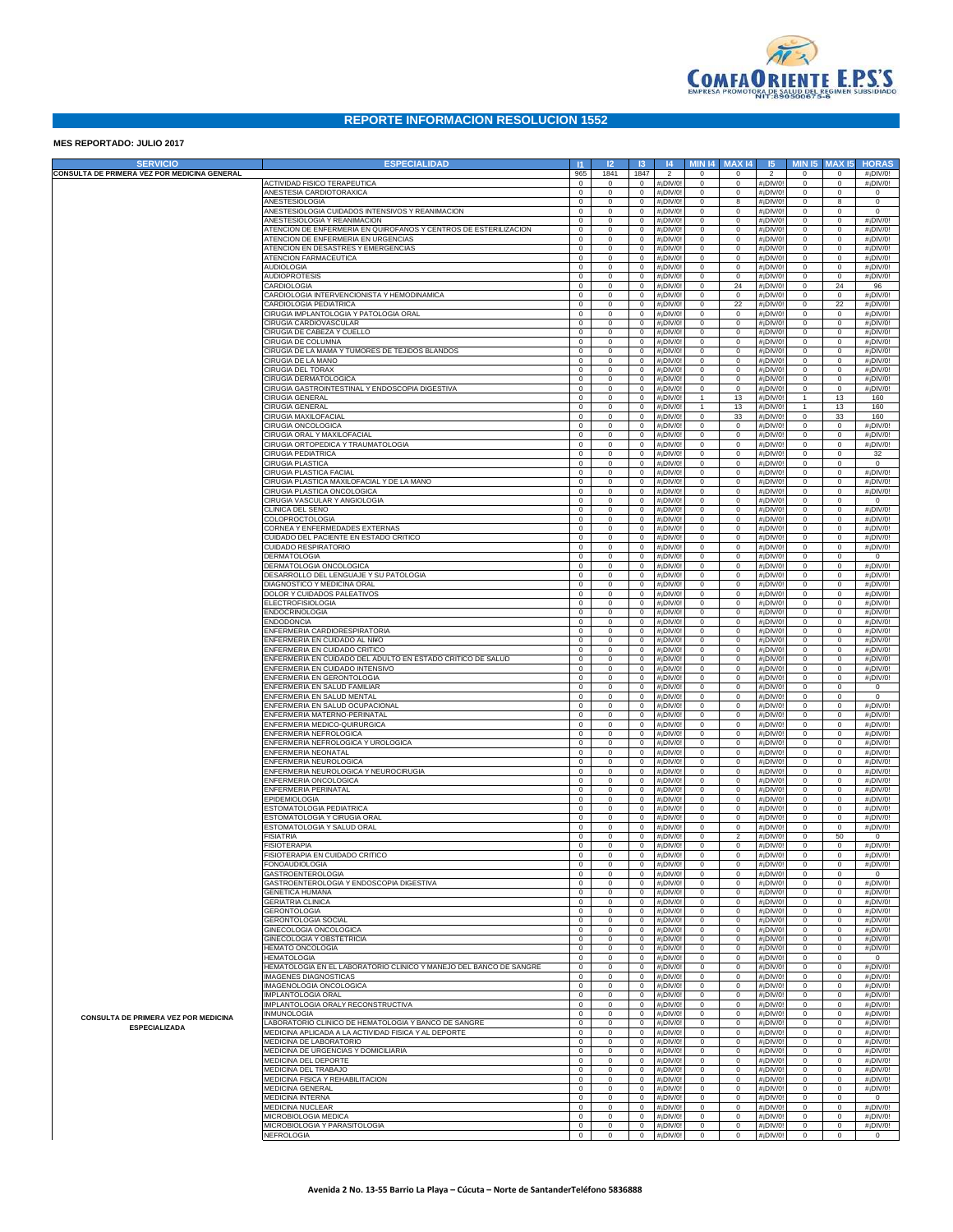

## **REPORTE INFORMACION RESOLUCION 1552**

## **MES REPORTADO: JULIO 2017**

| <b>SERVICIO</b>                                              | <b>ESPECIALIDAD</b>                                                                              | $\vert$ 11                 | 12            | -13                        | 4                       | <b>MIN 14</b>                | <b>MAX14</b>               | 15                                                 | <b>MIN 15</b>               | <b>MAX15</b>               | <b>HORAS</b>                        |
|--------------------------------------------------------------|--------------------------------------------------------------------------------------------------|----------------------------|---------------|----------------------------|-------------------------|------------------------------|----------------------------|----------------------------------------------------|-----------------------------|----------------------------|-------------------------------------|
| CONSULTA DE PRIMERA VEZ POR MEDICINA GENERAL                 |                                                                                                  | 965                        | 1841          | 1847                       | $\overline{2}$          | $\mathbf 0$                  | $\Omega$                   | $\overline{2}$                                     | $\circ$                     | $\mathbf 0$                | #¡DIV/0!                            |
|                                                              | <b>ACTIVIDAD FISICO TERAPEUTICA</b><br>ANESTESIA CARDIOTORAXICA                                  | $\mathbf 0$<br>$\mathbf 0$ | 0<br>0        | $\mathbf 0$<br>$\mathbf 0$ | #¡DIV/0                 | $\mathsf{O}$<br>$\mathsf{O}$ | $\mathsf 0$<br>$\mathsf 0$ | #¡DIV/0                                            | $\mathbb O$<br>$\mathbb O$  | $\mathbf 0$<br>$\mathbf 0$ | #¡DIV/0!<br>$\mathsf 0$             |
|                                                              | ANESTESIOLOGIA                                                                                   | $\mathbf 0$                | 0             | $\mathbf 0$                | #¡DIV/0<br>#¡DIV/0      | $\mathsf{O}$                 | 8                          | #¡DIV/0<br>#¡DIV/0                                 | $\mathbb O$                 | 8                          | $\mathsf 0$                         |
|                                                              | ANESTESIOLOGIA CUIDADOS INTENSIVOS Y REANIMACION                                                 | $\mathbf 0$                | 0             | $\mathbf 0$                | #¡DIV/0                 | $\mathbf 0$                  | $\mathsf 0$                | #¡DIV/0                                            | $\mathbb O$                 | $\mathbf 0$                | $\mathsf{O}$                        |
|                                                              | ANESTESIOLOGIA Y REANIMACION<br>ATENCION DE ENFERMERIA EN QUIROFANOS Y CENTROS DE ESTERILIZACION | $\mathbf 0$<br>$\mathbf 0$ | 0<br>0        | $\mathbf 0$<br>$\mathbf 0$ | #¡DIV/0<br>#¡DIV/0      | $\mathsf{O}$<br>$\mathsf{O}$ | $\mathsf 0$<br>$\mathsf 0$ | #¡DIV/0<br>$#$ <sub>i</sub> DIV/0                  | $\mathbb O$<br>$\mathbb O$  | $\mathbf 0$<br>$\mathbf 0$ | #¡DIV/0!<br>#¡DIV/0!                |
|                                                              | ATENCION DE ENFERMERIA EN URGENCIAS                                                              | $\mathbf 0$                | 0             | $\mathbf 0$                | #¡DIV/0                 | $\mathsf{O}$                 | $\mathsf 0$                | #¡DIV/0                                            | $\mathbb O$                 | $\mathbf 0$                | #¡DIV/0!                            |
|                                                              | ATENCION EN DESASTRES Y EMERGENCIAS                                                              | $\mathbf 0$                | 0             | $\mathbf 0$                | #¡DIV/0                 | $\mathbf 0$                  | $\mathsf 0$                | #¡DIV/0                                            | $\mathbb O$                 | $\mathbf 0$                | #¡DIV/0!                            |
|                                                              | ATENCION FARMACEUTICA<br><b>AUDIOLOGIA</b>                                                       | $\mathbf 0$<br>$\mathbf 0$ | 0<br>0        | $\mathbf 0$<br>$\mathbf 0$ | #¡DIV/0<br>#¡DIV/0      | $\mathbf 0$<br>$\mathsf{O}$  | $\mathsf 0$<br>$\mathsf 0$ | #¡DIV/0<br>#¡DIV/0                                 | $\mathbb O$<br>$\mathbb O$  | $\mathbf 0$<br>$\mathbf 0$ | #¡DIV/0!<br>#¡DIV/0!                |
|                                                              | <b>AUDIOPROTESIS</b>                                                                             | $\mathbf 0$                | 0             | $\mathbf 0$                | #¡DIV/0                 | $\mathsf{O}$                 | $\mathsf 0$                | #¡DIV/0                                            | $\mathbb O$                 | $\mathbf 0$                | #¡DIV/0!                            |
|                                                              | CARDIOLOGIA                                                                                      | $\mathbf 0$                | 0             | $\mathbf 0$                | #¡DIV/0                 | $\mathbf 0$                  | 24                         | #¡DIV/0                                            | $\mathbb O$                 | 24                         | 96                                  |
|                                                              | CARDIOLOGIA INTERVENCIONISTA Y HEMODINAMICA<br>CARDIOLOGIA PEDIATRICA                            | $\mathbf 0$<br>$\mathbf 0$ | 0<br>0        | $\mathbf 0$<br>$\mathbf 0$ | #¡DIV/0<br>#¡DIV/0      | $\mathbf 0$<br>$\mathbf 0$   | $\mathbb O$<br>22          | #¡DIV/0<br>#¡DIV/0                                 | $\mathbb O$<br>$\mathbb O$  | $\mathbf 0$<br>22          | #¡DIV/0!<br>#¡DIV/0!                |
|                                                              | CIRUGIA IMPLANTOLOGIA Y PATOLOGIA ORAL                                                           | $\mathbf 0$                | 0             | $\mathbf 0$                | #¡DIV/0                 | $\mathsf{O}$                 | $\mathsf 0$                | #¡DIV/0                                            | $\mathbb O$                 | $\mathbf 0$                | #¡DIV/0!                            |
|                                                              | <b>IRUGIA CARDIOVASCULAR</b>                                                                     | $\mathbf 0$                | 0             | $\mathbf 0$                | #¡DIV/0                 | $\mathsf{O}$                 | $\mathsf 0$                | #¡DIV/0                                            | $\mathbb O$                 | $\mathbf 0$                | #¡DIV/0!                            |
|                                                              | <b>IRUGIA DE CABEZA Y CUELLO</b><br><b>IRUGIA DE COLUMNA</b>                                     | $\mathbf 0$<br>$\mathbf 0$ | 0<br>0        | $\mathbf 0$<br>$\mathbf 0$ | #¡DIV/0<br>#¡DIV/0      | $\mathbf 0$<br>$\mathbf 0$   | $\mathsf 0$<br>$\mathsf 0$ | #¡DIV/0<br>#¡DIV/0                                 | $\mathbb O$<br>$\mathbb O$  | $\mathbf 0$<br>$\mathbf 0$ | #¡DIV/0!<br>#¡DIV/0!                |
|                                                              | CIRUGIA DE LA MAMA Y TUMORES DE TEJIDOS BLANDOS                                                  | $\mathbf 0$                | 0             | $\mathbf 0$                | #¡DIV/0                 | $\mathbf 0$                  | $\mathsf 0$                | #¡DIV/0                                            | $\mathbb O$                 | $\mathbf 0$                | #¡DIV/0!                            |
|                                                              | CIRUGIA DE LA MANO                                                                               | $\mathbf 0$                | 0             | $\mathbf 0$                | #¡DIV/0                 | $\mathsf{O}$                 | $\mathsf 0$                | #¡DIV/0                                            | $\mathbb O$                 | $\mathbf 0$                | #¡DIV/0!                            |
|                                                              | CIRUGIA DEL TORAX<br><b>IRUGIA DERMATOLOGICA</b>                                                 | $\mathbf 0$<br>$\mathbf 0$ | 0<br>0        | $\mathbf 0$<br>$\mathbf 0$ | #¡DIV/0<br>#¡DIV/0      | $\mathsf{O}$<br>$\mathsf{O}$ | $\mathsf 0$<br>$\mathsf 0$ | #¡DIV/0<br>#¡DIV/0                                 | $\mathbb O$<br>$\mathbb O$  | $\mathbf 0$<br>$\mathbf 0$ | #¡DIV/0!<br>#¡DIV/0!                |
|                                                              | <b>IRUGIA GASTROINTESTINAL Y ENDOSCOPIA DIGESTIVA</b>                                            | $\mathbf 0$                | 0             | $\mathbf 0$                | #¡DIV/0                 | $\mathsf{O}$                 | $\mathsf 0$                | #¡DIV/0                                            | $\mathbb O$                 | $\mathbf 0$                | #¡DIV/0!                            |
|                                                              | CIRUGIA GENERAL                                                                                  | $\mathbf 0$                | 0             | $\mathbf 0$                | #¡DIV/0                 | $\mathbf{1}$                 | 13                         | #¡DIV/0                                            | $\mathbf{1}$                | 13                         | 160                                 |
|                                                              | CIRUGIA GENERAI<br><b>IRUGIA MAXILOFACIAL</b>                                                    | $\mathbf 0$<br>$\mathbf 0$ | 0<br>0        | $\mathbf 0$<br>$\mathbf 0$ | #¡DIV/0<br>#¡DIV/0      | $\mathbf{1}$<br>$\mathbf 0$  | 13<br>33                   | #¡DIV/0<br>#¡DIV/0                                 | $\mathbf{1}$<br>$\mathbb O$ | 13<br>33                   | 160<br>160                          |
|                                                              | <b>IRUGIA ONCOLOGICA</b>                                                                         | $\mathbf 0$                | 0             | $\mathbf 0$                | #¡DIV/0                 | $\mathbf 0$                  | $\mathsf 0$                | #¡DIV/0                                            | $\mathbb O$                 | $\mathbf 0$                | #¡DIV/0!                            |
|                                                              | <b>IRUGIA ORAL Y MAXILOFACIAL</b>                                                                | $\mathbf 0$                | 0             | $\mathbf 0$                | #¡DIV/0                 | $\mathsf{O}$                 | $\mathsf 0$                | #¡DIV/0                                            | $\mathbb O$                 | $\mathbf 0$                | #¡DIV/0!                            |
|                                                              | IRUGIA ORTOPEDICA Y TRAUMATOLOGIA<br><b>IRUGIA PEDIATRICA</b>                                    | $\mathbf 0$<br>$\mathbf 0$ | 0<br>0        | $\mathbf 0$<br>$\mathbf 0$ | #¡DIV/0<br>#¡DIV/0      | $\mathbf 0$<br>$\mathsf{O}$  | $\mathsf 0$<br>$\mathsf 0$ | #¡DIV/0<br>#¡DIV/0                                 | $\mathbb O$<br>$\mathbb O$  | $\mathbf 0$<br>$\mathbf 0$ | #¡DIV/0!<br>32                      |
|                                                              | <b>IRUGIA PLASTICA</b>                                                                           | $\mathbf 0$                | 0             | $\mathbf 0$                | #¡DIV/0                 | $\mathsf{O}$                 | $\mathsf 0$                | #¡DIV/0                                            | $\mathbb O$                 | $\mathbf 0$                | $\mathsf 0$                         |
|                                                              | <b>IRUGIA PLASTICA FACIAL</b>                                                                    | $\mathbf 0$                | 0             | $\mathbf 0$                | #¡DIV/0                 | $\mathsf{O}$                 | $\mathsf 0$                | #¡DIV/0                                            | $\mathbb O$                 | $\mathbf 0$                | #¡DIV/0!                            |
|                                                              | IRUGIA PLASTICA MAXILOFACIAL Y DE LA MANO<br><b>IRUGIA PLASTICA ONCOLOGICA</b>                   | $\mathbf 0$<br>$\mathbf 0$ | 0<br>0        | $\mathbf 0$<br>$\mathbf 0$ | #¡DIV/0<br>#¡DIV/0      | $\mathbf 0$<br>$\mathbf 0$   | $\mathsf 0$<br>$\mathsf 0$ | #¡DIV/0<br>#¡DIV/0                                 | $\mathbb O$<br>$\mathbb O$  | $\mathbf 0$<br>$\mathbf 0$ | #¡DIV/0!<br>#¡DIV/0!                |
|                                                              | <b>IRUGIA VASCULAR Y ANGIOLOGIA</b>                                                              | $\mathbf 0$                | 0             | $\mathbf 0$                | #¡DIV/0                 | $\mathsf{O}$                 | $\mathsf 0$                | #¡DIV/0                                            | $\mathbb O$                 | $\mathbf 0$                | $\mathbf 0$                         |
|                                                              | CLINICA DEL SENO                                                                                 | $\mathbf 0$                | 0             | $\mathbf 0$                | #¡DIV/0                 | $\mathsf{O}$                 | $\mathsf 0$                | #¡DIV/0                                            | $\mathbb O$                 | $\mathbf 0$                | #¡DIV/0!                            |
|                                                              | COLOPROCTOLOGIA                                                                                  | $\mathbf 0$                | 0             | $\mathbf 0$                | #¡DIV/0                 | $\mathsf{O}$                 | $\mathsf 0$                | #¡DIV/0                                            | $\mathbb O$                 | $\mathbf 0$                | #¡DIV/0!                            |
|                                                              | CORNEA Y ENFERMEDADES EXTERNAS<br>CUIDADO DEL PACIENTE EN ESTADO CRITICO                         | $\mathbf 0$<br>$\mathbf 0$ | 0<br>0        | $\mathbf 0$<br>$\mathbf 0$ | #¡DIV/0<br>#¡DIV/0      | $\mathbf 0$<br>$\mathbf 0$   | $\mathsf 0$<br>$\mathsf 0$ | #¡DIV/0<br>#¡DIV/0                                 | $\mathbb O$<br>$\mathbb O$  | $\mathbf 0$<br>$\mathbf 0$ | #¡DIV/0!<br>#¡DIV/0!                |
|                                                              | CUIDADO RESPIRATORIO                                                                             | $\mathbf 0$                | 0             | $\mathbf 0$                | #¡DIV/0                 | $\mathsf{O}$                 | $\mathsf 0$                | #¡DIV/0                                            | $\mathbb O$                 | $\mathbf 0$                | #¡DIV/0!                            |
|                                                              | <b>DERMATOLOGIA</b>                                                                              | $\mathbf 0$                | 0             | $\mathbf 0$                | #¡DIV/0                 | $\mathsf{O}$                 | $\mathsf 0$                | #¡DIV/0                                            | $\mathbb O$                 | $\mathbf 0$                | $\mathsf 0$                         |
|                                                              | DERMATOLOGIA ONCOLOGICA<br>DESARROLLO DEL LENGUAJE Y SU PATOLOGIA                                | $\mathbf 0$<br>$\mathbf 0$ | 0<br>0        | $\mathbf 0$<br>$\mathbf 0$ | #¡DIV/0<br>#¡DIV/0      | $\mathsf{O}$<br>$\mathbf 0$  | $\mathsf 0$<br>$\mathsf 0$ | #¡DIV/0<br>#¡DIV/0                                 | $\mathbb O$<br>$\mathbb O$  | $\mathbf 0$<br>$\mathbf 0$ | #¡DIV/0!<br>#¡DIV/0!                |
|                                                              | DIAGNOSTICO Y MEDICINA ORAL                                                                      | $\mathbf 0$                | 0             | $\mathbf 0$                | #¡DIV/0                 | $\mathbf 0$                  | $\mathsf 0$                | #¡DIV/0                                            | $\mathbb O$                 | $\mathbf 0$                | #¡DIV/0!                            |
|                                                              | DOLOR Y CUIDADOS PALEATIVOS                                                                      | $\mathbf 0$                | 0             | $\mathbf 0$                | #¡DIV/0                 | $\mathsf{O}$                 | $\mathsf 0$                | #¡DIV/0                                            | $\mathbb O$                 | $\mathbf 0$                | #¡DIV/0!                            |
|                                                              | <b>ELECTROFISIOLOGIA</b>                                                                         | $\mathbf 0$                | 0             | $\mathbf 0$                | #¡DIV/0                 | $\mathsf{O}$                 | $\mathsf 0$                | #¡DIV/0                                            | $\mathbb O$                 | $\mathbf 0$                | #¡DIV/0!                            |
|                                                              | ENDOCRINOLOGIA<br>ENDODONCIA                                                                     | $\mathbf 0$<br>$\mathbf 0$ | 0<br>0        | $\mathbf 0$<br>$\mathbf 0$ | #¡DIV/0<br>#¡DIV/0      | $\mathsf{O}$<br>$\mathbf 0$  | $\mathsf 0$<br>$\mathsf 0$ | #¡DIV/0<br>#¡DIV/0                                 | $\mathbb O$<br>$\mathbb O$  | $\mathbf 0$<br>$\mathbf 0$ | #¡DIV/0!<br>#¡DIV/0!                |
|                                                              | ENFERMERIA CARDIORESPIRATORIA                                                                    | $\mathbf 0$                | 0             | $\mathbf 0$                | #¡DIV/0                 | $\mathbf 0$                  | $\mathsf 0$                | #¡DIV/0                                            | $\mathbb O$                 | $\mathbf 0$                | #¡DIV/0!                            |
|                                                              | ENFERMERIA EN CUIDADO AL NI¥O                                                                    | $\mathbf 0$                | 0             | $\mathbf 0$                | #¡DIV/0                 | $\mathsf{O}$                 | $\mathsf 0$                | #¡DIV/0                                            | $\mathbb O$                 | $\mathbf 0$                | #¡DIV/0!                            |
|                                                              | ENFERMERIA EN CUIDADO CRITICO<br>ENFERMERIA EN CUIDADO DEL ADULTO EN ESTADO CRITICO DE SALUD     | $\mathbf 0$<br>$\mathbf 0$ | 0<br>0        | $\mathbf 0$<br>$\mathbf 0$ | #¡DIV/0<br>#¡DIV/0      | $\mathsf{O}$<br>$\mathsf{O}$ | $\mathsf 0$<br>$\mathsf 0$ | #¡DIV/0<br>#¡DIV/0                                 | $\mathbb O$<br>$\mathbb O$  | $\mathbf 0$<br>$\mathbf 0$ | #¡DIV/0!<br>#¡DIV/0!                |
|                                                              | ENFERMERIA EN CUIDADO INTENSIVO                                                                  | $\mathbf 0$                | 0             | $\mathbf 0$                | #¡DIV/0                 | $\mathbf 0$                  | $\mathsf 0$                | #¡DIV/0                                            | $\mathbb O$                 | $\mathbf 0$                | #¡DIV/0!                            |
|                                                              | ENFERMERIA EN GERONTOLOGIA                                                                       | $\mathbf 0$                | 0             | $\mathbf 0$                | #¡DIV/0                 | $\mathbf 0$                  | $\mathsf 0$                | #¡DIV/0                                            | $\mathbb O$                 | $\mathbf 0$                | #¡DIV/0!                            |
|                                                              | ENFERMERIA EN SALUD FAMILIAR<br>ENFERMERIA EN SALUD MENTAL                                       | $\mathbf 0$<br>$\mathbf 0$ | 0<br>0        | $\mathbf 0$<br>$\mathbf 0$ | #¡DIV/0<br>#¡DIV/0      | $\mathsf{O}$<br>$\mathsf{O}$ | $\mathsf 0$<br>$\mathsf 0$ | #¡DIV/0<br>#¡DIV/0                                 | $\mathbb O$<br>$\mathbb O$  | $\mathbf 0$<br>$\mathbf 0$ | $\mathsf 0$<br>$\mathsf 0$          |
|                                                              | ENFERMERIA EN SALUD OCUPACIONAL                                                                  | $\mathbf 0$                | 0             | $\mathbf 0$                | #¡DIV/0                 | $\mathsf{O}$                 | $\mathsf 0$                | #¡DIV/0                                            | $\mathbb O$                 | $\mathbf 0$                | #¡DIV/0!                            |
|                                                              | ENFERMERIA MATERNO-PERINATAL                                                                     | $\mathbf 0$                | 0             | $\mathbf 0$                | #¡DIV/0                 | $\mathbf 0$                  | $\mathsf 0$                | #¡DIV/0                                            | $\mathbb O$                 | $\mathbf 0$                | #¡DIV/0!                            |
|                                                              | ENFERMERIA MEDICO-QUIRURGICA                                                                     | $\mathbf 0$                | 0             | $\mathbf 0$                | #¡DIV/0                 | $\mathbf 0$                  | $\mathsf 0$                | #¡DIV/0                                            | $\mathbb O$                 | $\mathbf 0$                | #¡DIV/0!                            |
|                                                              | ENFERMERIA NEFROLOGICA<br>ENFERMERIA NEFROLOGICA Y UROLOGICA                                     | $\mathbf 0$<br>$\mathbf 0$ | 0<br>0        | $\mathbf 0$<br>$\mathbf 0$ | #¡DIV/0<br>#¡DIV/0      | $\mathsf{O}$<br>$\mathsf{O}$ | $\mathsf 0$<br>$\mathsf 0$ | #¡DIV/0<br>#¡DIV/0                                 | $\mathbb O$<br>$\mathbb O$  | $\mathbf 0$<br>$\mathbf 0$ | #¡DIV/0!<br>#¡DIV/0!                |
|                                                              | ENFERMERIA NEONATAL                                                                              | $\mathbf 0$                | 0             | $\mathbf 0$                | #¡DIV/0                 | $\mathsf{O}$                 | $\mathsf 0$                | #¡DIV/0                                            | $\mathbb O$                 | $\mathbf 0$                | #¡DIV/0!                            |
|                                                              | ENFERMERIA NEUROLOGICA                                                                           | $\mathbf 0$                | 0             | $\mathbf 0$                | #¡DIV/0                 | $\mathbf 0$                  | $\mathsf 0$                | #¡DIV/0                                            | $\mathbb O$                 | $\mathbf 0$                | #¡DIV/0!                            |
|                                                              | ENFERMERIA NEUROLOGICA Y NEUROCIRUGIA<br>ENFERMERIA ONCOLOGICA                                   | $\mathbf 0$<br>$\mathbf 0$ | 0<br>0        | $\mathbf 0$<br>$\mathbf 0$ | #¡DIV/0<br>#¡DIV/0      | $\mathbf 0$<br>$\mathsf{O}$  | $\mathsf 0$<br>$\mathsf 0$ | #¡DIV/0<br>#¡DIV/0                                 | $\mathbb O$<br>$\mathbb O$  | $\mathbf 0$<br>$\mathbf 0$ | #¡DIV/0!<br>#¡DIV/0!                |
|                                                              | ENFERMERIA PERINATAL                                                                             | $\mathbf 0$                | 0             | $\mathbf 0$                | #¡DIV/0                 | $\mathsf{O}$                 | $\mathsf 0$                | #¡DIV/0                                            | $\mathbb O$                 | $\mathbf 0$                | #¡DIV/0!                            |
|                                                              | EPIDEMIOLOGIA                                                                                    | $\mathbf 0$                | 0             | $\mathbf 0$                | #¡DIV/0                 | $\mathsf{O}$                 | $\mathsf 0$                | #¡DIV/0                                            | $\mathbb O$                 | $\mathbf 0$                | #¡DIV/0!                            |
|                                                              | ESTOMATOLOGIA PEDIATRICA<br>ESTOMATOLOGIA Y CIRUGIA ORAL                                         | $\mathbf 0$<br>$\mathbf 0$ | 0<br>0        | $\mathbf 0$<br>$\mathbf 0$ | #¡DIV/0<br>#¡DIV/0      | $\mathsf{O}$<br>$\mathbf 0$  | $\mathsf 0$<br>$\mathsf 0$ | #¡DIV/0<br>#¡DIV/0                                 | $\mathbb O$<br>$\mathbb O$  | $\mathbf 0$<br>$\mathbf 0$ | #¡DIV/0!<br>#¡DIV/0!                |
|                                                              | <b>ESTOMATOLOGIA Y SALUD ORAL</b>                                                                | $\mathbf 0$                | 0             | $\mathbf 0$                | #¡DIV/0                 | $\mathsf{O}$                 | $\mathsf 0$                | #¡DIV/0                                            | $\mathsf 0$                 | $\mathbf 0$                | #¡DIV/0!                            |
|                                                              | <b>FISIATRIA</b>                                                                                 | 0                          | 0             | $\mathbf 0$                | #¡DIV/0                 | $\mathsf{O}$                 | $\overline{2}$             | #¡DIV/0                                            | $\mathsf{O}$                | 50                         | $\mathsf 0$                         |
|                                                              | <b>FISIOTERAPIA</b><br>FISIOTERAPIA EN CUIDADO CRITICO                                           | $\mathbf 0$<br>$\mathbf 0$ | 0<br>$\Omega$ | $\mathbf 0$<br>$\mathbf 0$ | #¡DIV/0!<br>$#i$ DIV/0! | $\mathbf 0$<br>$\mathsf{O}$  | $\mathsf 0$<br>$\Omega$    | $#$ <sub>i</sub> DIV/0!<br>$#$ <sub>i</sub> DIV/0! | $\mathsf 0$<br>$\Omega$     | 0<br>0                     | #¡DIV/0!<br>#¡DIV/0!                |
|                                                              | <b>FONOAUDIOLOGIA</b>                                                                            | $\mathbf 0$                | 0             | $\mathbf 0$                | #¡DIV/0!                | $\mathsf{O}$                 | $\mathsf 0$                | $#$ <sub>i</sub> DIV/0!                            | $\mathsf 0$                 | $\mathbf 0$                | #¡DIV/0!                            |
|                                                              | GASTROENTEROLOGIA                                                                                | $\mathbf 0$                | 0             | $\mathbf 0$                | #¡DIV/0!                | $\mathbf 0$                  | $\mathsf 0$                | $#$ <sub>i</sub> DIV/0!                            | $\mathbb O$                 | $\mathbf 0$                | $\circ$                             |
|                                                              | GASTROENTEROLOGIA Y ENDOSCOPIA DIGESTIVA<br><b>GENETICA HUMANA</b>                               | $\mathbf 0$<br>$\mathbf 0$ | 0<br>0        | $\mathbf 0$<br>$\circ$     | #¡DIV/0!<br>#¡DIV/0!    | $\mathbf 0$<br>$\mathsf 0$   | $\mathsf 0$<br>$\mathsf 0$ | $#$ <sub>i</sub> DIV/0!<br>$#$ <sub>i</sub> DIV/0! | $\circ$<br>$\circ$          | $\mathbf 0$<br>$\mathbf 0$ | #¡DIV/0!<br>#¡DIV/0!                |
|                                                              | <b>GERIATRIA CLINICA</b>                                                                         | $\mathbf 0$                | 0             | $\mathbf 0$                | #¡DIV/0!                | $\mathsf 0$                  | $\mathbb O$                | $#$ <sub>i</sub> DIV/0!                            | $\circ$                     | $\mathbf 0$                | #¡DIV/0!                            |
|                                                              | <b>GERONTOLOGIA</b>                                                                              | $\mathbf 0$                | 0             | $\mathbf 0$                | #¡DIV/0!                | $\mathsf 0$                  | $\mathbb O$                | $#$ <sub>i</sub> DIV/0!                            | $\circ$                     | $\mathbf 0$                | $#$ <sub>i</sub> DIV/0!             |
|                                                              | <b>GERONTOLOGIA SOCIAL</b><br>GINECOLOGIA ONCOLOGICA                                             | $\mathbf 0$<br>$\mathbf 0$ | 0<br>0        | $\mathbf 0$<br>$\mathbf 0$ | #¡DIV/0!<br>#¡DIV/0!    | $\mathsf 0$<br>$\mathsf 0$   | $\circ$<br>$\mathbf 0$     | $#$ <sub>i</sub> DIV/0!<br>$#$ <sub>i</sub> DIV/0! | $\circ$<br>$\mathbf 0$      | $\mathbf 0$<br>$\mathbf 0$ | $#$ <sub>i</sub> DIV/0!<br>#¡DIV/0! |
|                                                              | <b>GINECOLOGIA Y OBSTETRICIA</b>                                                                 | $\mathbf 0$                | 0             | $\mathbf 0$                | #¡DIV/0!                | $\mathsf 0$                  | $\mathbf 0$                | $#$ <sub>i</sub> DIV/0!                            | $\mathbf 0$                 | $\mathbf 0$                | #¡DIV/0!                            |
|                                                              | <b>HEMATO ONCOLOGIA</b>                                                                          | $\mathbf 0$                | 0             | $\mathbf 0$                | #¡DIV/0!                | $\mathsf 0$                  | $\mathbb O$                | $#$ <sub>i</sub> DIV/0!                            | $\mathbf 0$                 | $\mathbf 0$                | $#$ <sub>i</sub> DIV/0!             |
|                                                              | <b>HEMATOLOGIA</b><br>HEMATOLOGIA EN EL LABORATORIO CLINICO Y MANEJO DEL BANCO DE SANGRE         | $\mathbf 0$<br>$\mathbf 0$ | 0<br>0        | $\mathbf 0$<br>$\mathbf 0$ | #¡DIV/0!<br>#¡DIV/0!    | $\mathsf 0$<br>$\mathsf 0$   | $\mathbf 0$<br>$\mathbf 0$ | $#$ <sub>i</sub> DIV/0!<br>$#$ <sub>i</sub> DIV/0! | $\mathbf 0$<br>$\mathbf 0$  | $\mathbf 0$<br>$\mathbf 0$ | $\overline{0}$<br>#¡DIV/0!          |
|                                                              | <b>MAGENES DIAGNOSTICAS</b>                                                                      | $\mathbf 0$                | 0             | $\mathbf 0$                | #¡DIV/0!                | $\mathsf 0$                  | $\mathbf 0$                | $#$ <sub>i</sub> DIV/0!                            | $\mathbf 0$                 | $\mathbf 0$                | #¡DIV/0!                            |
|                                                              | MAGENOLOGIA ONCOLOGICA                                                                           | $\mathbf 0$                | 0             | $\mathbf 0$                | #¡DIV/0!                | $\mathsf 0$                  | $\mathbf 0$                | $#$ <sub>i</sub> DIV/0!                            | $\mathbf 0$                 | $\mathbf 0$                | #¡DIV/0!                            |
|                                                              | MPLANTOLOGIA ORAL<br>MPLANTOLOGIA ORALY RECONSTRUCTIVA                                           | $\mathbf 0$                | 0             | $\mathbf 0$                | #¡DIV/0!                | $\mathsf 0$                  | $\mathbb O$                | $#$ <sub>i</sub> DIV/0!                            | $\mathbf 0$                 | $\mathbf 0$                | #¡DIV/0!<br>#¡DIV/0!                |
|                                                              | <b>INMUNOLOGIA</b>                                                                               | $\mathbf 0$<br>$\mathbf 0$ | 0<br>0        | $\mathbf 0$<br>$\mathbf 0$ | #¡DIV/0!<br>#¡DIV/0!    | $\mathsf 0$<br>$\mathsf 0$   | $\mathbf 0$<br>$\mathbf 0$ | $#$ <sub>i</sub> DIV/0!<br>#¡DIV/0                 | $\mathbf 0$<br>$\mathbf 0$  | $\mathbf 0$<br>$\mathbf 0$ | #¡DIV/0!                            |
| CONSULTA DE PRIMERA VEZ POR MEDICINA<br><b>ESPECIALIZADA</b> | ABORATORIO CLINICO DE HEMATOLOGIA Y BANCO DE SANGRE                                              | $\mathbf 0$                | 0             | $\mathbf 0$                | #¡DIV/0!                | $\mathsf 0$                  | $\mathbf 0$                | $#$ <sub>i</sub> DIV/0!                            | $\mathbf 0$                 | $\mathbf 0$                | #¡DIV/0!                            |
|                                                              | MEDICINA APLICADA A LA ACTIVIDAD FISICA Y AL DEPORTE                                             | $\mathbf 0$                | 0             | $\mathbf 0$                | #¡DIV/0!                | $\mathsf 0$                  | $\circ$                    | $#$ <sub>i</sub> DIV/0!                            | $\circ$                     | $\mathbf 0$                | #¡DIV/0!                            |
|                                                              | MEDICINA DE LABORATORIO<br>MEDICINA DE URGENCIAS Y DOMICILIARIA                                  | $\mathbf 0$<br>$\mathbf 0$ | 0<br>0        | $\mathbf 0$<br>$\mathbf 0$ | #¡DIV/0!<br>#¡DIV/0!    | $\mathsf 0$<br>$\mathsf 0$   | $\mathbb O$<br>$\circ$     | $#$ <sub>i</sub> DIV/0!<br>$#$ <sub>i</sub> DIV/0! | $\circ$<br>$\circ$          | $\mathbf 0$<br>$\mathbf 0$ | #¡DIV/0!<br>#¡DIV/0!                |
|                                                              | <b>MEDICINA DEL DEPORTE</b>                                                                      | $\mathbf 0$                | 0             | $\mathbf 0$                | #¡DIV/0!                | $\mathsf 0$                  | $\circ$                    | $#$ <sub>i</sub> DIV/0!                            | $\circ$                     | $\mathbf 0$                | #¡DIV/0!                            |
|                                                              | <b>MEDICINA DEL TRABAJO</b>                                                                      | $\mathbf 0$                | 0             | $\mathbf 0$                | #¡DIV/0!                | $\mathsf 0$                  | $\circ$                    | $#$ <sub>i</sub> DIV/0!                            | $\circ$                     | $\mathbf 0$                | #¡DIV/0!                            |
|                                                              | MEDICINA FISICA Y REHABILITACION<br><b>MEDICINA GENERAL</b>                                      | $\mathbf 0$<br>$\mathbf 0$ | 0<br>0        | $\mathbf 0$<br>$\mathbf 0$ | #¡DIV/0!<br>#¡DIV/0!    | $\mathsf 0$<br>$\mathsf 0$   | $\circ$<br>$\mathbb O$     | $#$ <sub>i</sub> DIV/0!<br>$#$ <sub>i</sub> DIV/0! | $\circ$<br>$\mathbf 0$      | $\mathbf 0$<br>$\mathbf 0$ | #¡DIV/0!<br>#¡DIV/0!                |
|                                                              | <b>MEDICINA INTERNA</b>                                                                          | $\mathbf 0$                | 0             | $\mathbf 0$                | #¡DIV/0!                | $\mathbf 0$                  | $\mathbf 0$                | $#$ <sub>i</sub> DIV/0!                            | $\mathbf 0$                 | $\mathbf 0$                | $\overline{0}$                      |
|                                                              | MEDICINA NUCLEAR                                                                                 | $\mathbf 0$                | 0             | $\mathbf 0$                | #¡DIV/0!                | $\mathbf 0$                  | $\mathbf 0$                | $#$ <sub>i</sub> DIV/0!                            | $\mathbf 0$                 | $\circ$                    | #¡DIV/0!                            |
|                                                              | MICROBIOLOGIA MEDICA<br>MICROBIOLOGIA Y PARASITOLOGIA                                            | $\mathbf 0$<br>$\mathbf 0$ | 0<br>0        | $\mathbf 0$<br>$\circ$     | #¡DIV/0!<br>#¡DIV/0!    | $\mathbf 0$<br>$\circ$       | $\circ$<br>$\mathsf 0$     | #¡DIV/0!<br>$#$ <sub>i</sub> DIV/0!                | $\circ$<br>$\circ$          | $\circ$<br>$\mathbf 0$     | #¡DIV/0!<br>#¡DIV/0!                |
|                                                              | NEFROLOGIA                                                                                       | $\overline{0}$             | $\mathbf{0}$  | $\overline{0}$             | #¡DIV/0!                | $\overline{0}$               | $\overline{0}$             | $#$ <sub>i</sub> DIV/0!                            | $\overline{0}$              | $\overline{0}$             | $\mathbf{0}$                        |